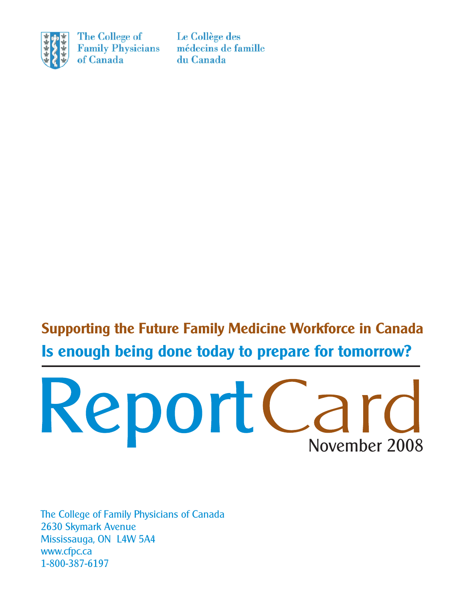

The College of **Family Physicians** of Canada

Le Collège des médecins de famille du Canada

**Supporting the Future Family Medicine Workforce in Canada Is enough being done today to prepare for tomorrow?** 



The College of Family Physicians of Canada 2630 Skymark Avenue Mississauga, ON L4W 5A4 <www.cfpc.ca> 1-800-387-6197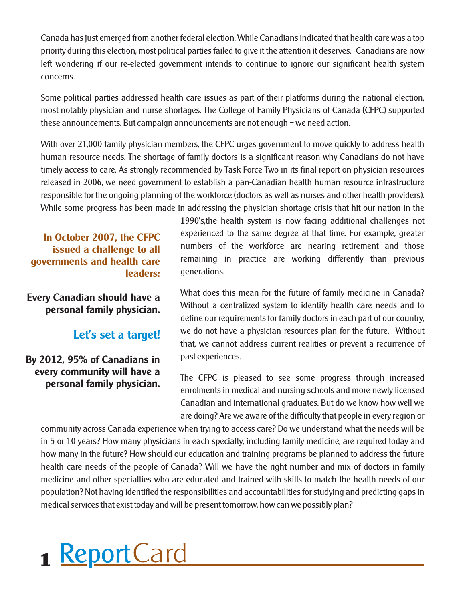Canada has just emerged from another federal election. While Canadians indicated that health care was a top priority during this election, most political parties failed to give it the attention it deserves. Canadians are now left wondering if our re-elected government intends to continue to ignore our significant health system concerns.

Some political parties addressed health care issues as part of their platforms during the national election, most notably physician and nurse shortages. The College of Family Physicians of Canada (CFPC) supported these announcements. But campaign announcements are not enough – we need action.

With over 21,000 family physician members, the CFPC urges government to move quickly to address health human resource needs. The shortage of family doctors is a significant reason why Canadians do not have timely access to care. As strongly recommended by Task Force Two in its final report on physician resources released in 2006, we need government to establish a pan-Canadian health human resource infrastructure responsible for the ongoing planning of the workforce (doctors as well as nurses and other health providers). While some progress has been made in addressing the physician shortage crisis that hit our nation in the

**issued a challenge to all governments and health care leaders:** 

**Every Canadian should have a personal family physician.** 

**By 2012, 95% of Canadians in** past experiences. **every community will have a** 

1990's,the health system is now facing additional challenges not **In October 2007, the CFPC** experienced to the same degree at that time. For example, greater numbers of the workforce are nearing retirement and those remaining in practice are working differently than previous generations.

What does this mean for the future of family medicine in Canada? Without a centralized system to identify health care needs and to define our requirements for family doctors in each part of our country, **Let's set a target!** We do not have a physician resources plan for the future. Without that, we cannot address current realities or prevent a recurrence of

**personal family physician.** The CFPC is pleased to see some progress through increased enrolments in medical and nursing schools and more newly licensed Canadian and international graduates. But do we know how well we are doing? Are we aware of the difficulty that people in every region or

community across Canada experience when trying to access care? Do we understand what the needs will be in 5 or 10 years? How many physicians in each specialty, including family medicine, are required today and how many in the future? How should our education and training programs be planned to address the future health care needs of the people of Canada? Will we have the right number and mix of doctors in family medicine and other specialties who are educated and trained with skills to match the health needs of our population? Not having identified the responsibilities and accountabilities for studying and predicting gaps in medical services that exist today and will be present tomorrow, how can we possibly plan?

# **1 ReportCard**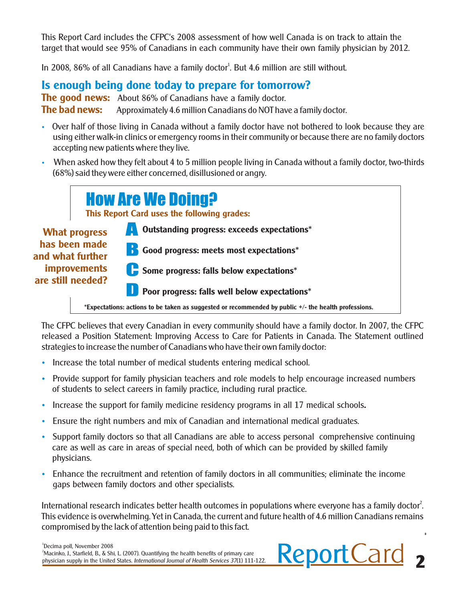This Report Card includes the CFPC's 2008 assessment of how well Canada is on track to attain the target that would see 95% of Canadians in each community have their own family physician by 2012.

In 2008, 86% of all Canadians have a family doctor<sup>1</sup>. But 4.6 million are still without.

#### **Is enough being done today to prepare for tomorrow?**

**The good news:** About 86% of Canadians have a family doctor. **The bad news:** Approximately 4.6 million Canadians do NOT have a family doctor.

- Over half of those living in Canada without a family doctor have not bothered to look because they are using either walk-in clinics or emergency rooms in their community or because there are no family doctors accepting new patients where they live.
- When asked how they felt about 4 to 5 million people living in Canada without a family doctor, two-thirds (68%) said they were either concerned, disillusioned or angry.

|                                                                                                       |  | <b>How Are We Doing?</b><br>This Report Card uses the following grades:                              |  |
|-------------------------------------------------------------------------------------------------------|--|------------------------------------------------------------------------------------------------------|--|
| <b>What progress</b><br>has been made<br>and what further<br><b>improvements</b><br>are still needed? |  | Outstanding progress: exceeds expectations*                                                          |  |
|                                                                                                       |  | <b>1</b> Good progress: meets most expectations*                                                     |  |
|                                                                                                       |  | Some progress: falls below expectations*                                                             |  |
|                                                                                                       |  | Poor progress: falls well below expectations*                                                        |  |
|                                                                                                       |  | *Expectations: actions to be taken as suggested or recommended by public +/- the health professions. |  |

The CFPC believes that every Canadian in every community should have a family doctor. In 2007, the CFPC released a Position Statement: Improving Access to Care for Patients in Canada. The Statement outlined strategies to increase the number of Canadians who have their own family doctor:

- Increase the total number of medical students entering medical school.
- Provide support for family physician teachers and role models to help encourage increased numbers of students to select careers in family practice, including rural practice.
- Increase the support for family medicine residency programs in all 17 medical schools*.*
- Ensure the right numbers and mix of Canadian and international medical graduates.
- Support family doctors so that all Canadians are able to access personal comprehensive continuing care as well as care in areas of special need, both of which can be provided by skilled family physicians.
- Enhance the recruitment and retention of family doctors in all communities; eliminate the income gaps between family doctors and other specialists.

International research indicates better health outcomes in populations where everyone has a family doctor<sup>2</sup>. This evidence is overwhelming. Yet in Canada, the current and future health of 4.6 million Canadians remains compromised by the lack of attention being paid to this fact.

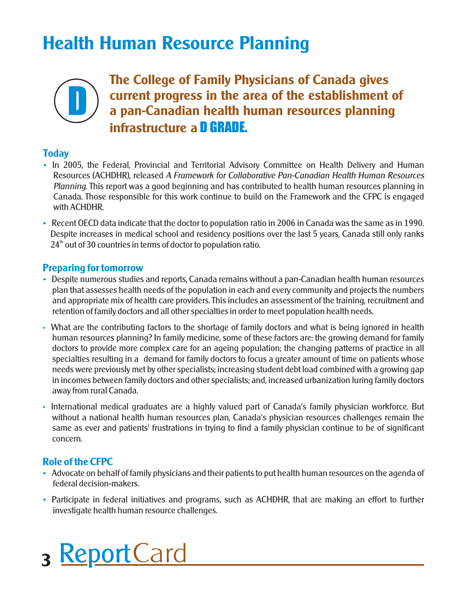## **Health Human Resource Planning**



**The College of Family Physicians of Canada gives<br>
a pan-Canadian health human resources planning<br>
a pan-Canadian health human resources planning current progress in the area of the establishment of infrastructure a** D GRADE.

#### **Today**

- In 2005, the Federal, Provincial and Territorial Advisory Committee on Health Delivery and Human Resources (ACHDHR), released *A Framework for Collaborative Pan-Canadian Health Human Resources Planning*. This report was a good beginning and has contributed to health human resources planning in Canada. Those responsible for this work continue to build on the Framework and the CFPC is engaged with ACHDHR.
- Recent OECD data indicate that the doctor to population ratio in 2006 in Canada was the same as in 1990. Despite increases in medical school and residency positions over the last 5 years, Canada still only ranks  $24<sup>th</sup>$  out of 30 countries in terms of doctor to population ratio.

#### **Preparing for tomorrow**

- Despite numerous studies and reports, Canada remains without a pan-Canadian health human resources plan that assesses health needs of the population in each and every community and projects the numbers and appropriate mix of health care providers. This includes an assessment of the training, recruitment and retention of family doctors and all other specialties in order to meet population health needs.
- What are the contributing factors to the shortage of family doctors and what is being ignored in health human resources planning? In family medicine, some of these factors are: the growing demand for family doctors to provide more complex care for an ageing population; the changing patterns of practice in all specialties resulting in a demand for family doctors to focus a greater amount of time on patients whose needs were previously met by other specialists; increasing student debt load combined with a growing gap in incomes between family doctors and other specialists; and, increased urbanization luring family doctors away from rural Canada.
- International medical graduates are a highly valued part of Canada's family physician workforce. But without a national health human resources plan, Canada's physician resources challenges remain the same as ever and patients' frustrations in trying to find a family physician continue to be of significant concern.

#### **Role of the CFPC**

- Advocate on behalf of family physicians and their patients to put health human resources on the agenda of federal decision-makers.
- Participate in federal initiatives and programs, such as ACHDHR, that are making an effort to further investigate health human resource challenges.
- 3 ReportCard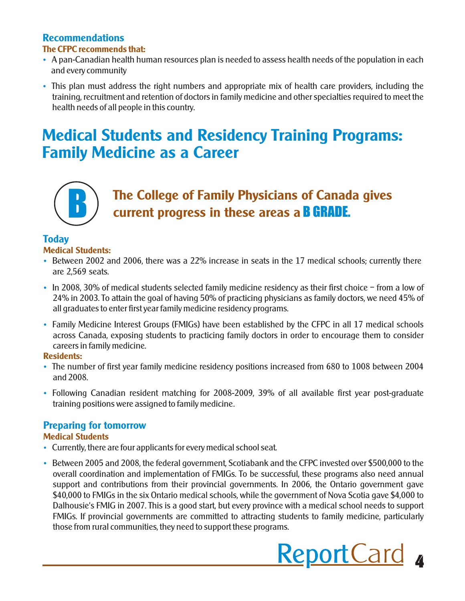#### **Recommendations The CFPC recommends that:**

- A pan-Canadian health human resources plan is needed to assess health needs of the population in each and every community
- This plan must address the right numbers and appropriate mix of health care providers, including the training, recruitment and retention of doctors in family medicine and other specialties required to meet the health needs of all people in this country.

### **Medical Students and Residency Training Programs: Family Medicine as a Career**



### **The College of Family Physicians of Canada gives current progress in these areas a** B GRADE.

#### **Today**

#### **Medical Students:**

- Between 2002 and 2006, there was a 22% increase in seats in the 17 medical schools; currently there are 2,569 seats.
- In 2008, 30% of medical students selected family medicine residency as their first choice from a low of 24% in 2003. To attain the goal of having 50% of practicing physicians as family doctors, we need 45% of all graduates to enter first year family medicine residency programs.
- Family Medicine Interest Groups (FMIGs) have been established by the CFPC in all 17 medical schools across Canada, exposing students to practicing family doctors in order to encourage them to consider careers in family medicine.

#### **Residents:**

- The number of first year family medicine residency positions increased from 680 to 1008 between 2004 and 2008.
- Following Canadian resident matching for 2008-2009, 39% of all available first year post-graduate training positions were assigned to family medicine.

#### **Preparing for tomorrow**

#### **Medical Students**

- Currently, there are four applicants for every medical school seat.
- Between 2005 and 2008, the federal government, Scotiabank and the CFPC invested over \$500,000 to the overall coordination and implementation of FMIGs. To be successful, these programs also need annual support and contributions from their provincial governments. In 2006, the Ontario government gave \$40,000 to FMIGs in the six Ontario medical schools, while the government of Nova Scotia gave \$4,000 to Dalhousie's FMIG in 2007. This is a good start, but every province with a medical school needs to support FMIGs. If provincial governments are committed to attracting students to family medicine, particularly those from rural communities, they need to support these programs.

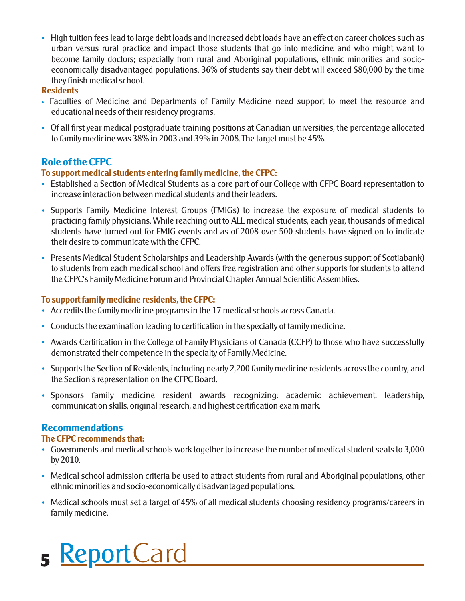• High tuition fees lead to large debt loads and increased debt loads have an effect on career choices such as urban versus rural practice and impact those students that go into medicine and who might want to become family doctors; especially from rural and Aboriginal populations, ethnic minorities and socioeconomically disadvantaged populations. 36% of students say their debt will exceed \$80,000 by the time they finish medical school.

#### **Residents**

- Faculties of Medicine and Departments of Family Medicine need support to meet the resource and educational needs of their residency programs.
- Of all first year medical postgraduate training positions at Canadian universities, the percentage allocated to family medicine was 38% in 2003 and 39% in 2008. The target must be 45%.

#### **Role of the CFPC**

#### **To support medical students entering family medicine, the CFPC:**

- Established a Section of Medical Students as a core part of our College with CFPC Board representation to increase interaction between medical students and their leaders.
- Supports Family Medicine Interest Groups (FMIGs) to increase the exposure of medical students to practicing family physicians. While reaching out to ALL medical students, each year, thousands of medical students have turned out for FMIG events and as of 2008 over 500 students have signed on to indicate their desire to communicate with the CFPC.
- Presents Medical Student Scholarships and Leadership Awards (with the generous support of Scotiabank) to students from each medical school and offers free registration and other supports for students to attend the CFPC's Family Medicine Forum and Provincial Chapter Annual Scientific Assemblies.

#### **To support family medicine residents, the CFPC:**

- Accredits the family medicine programs in the 17 medical schools across Canada.
- Conducts the examination leading to certification in the specialty of family medicine.
- Awards Certification in the College of Family Physicians of Canada (CCFP) to those who have successfully demonstrated their competence in the specialty of Family Medicine.
- Supports the Section of Residents, including nearly 2,200 family medicine residents across the country, and the Section's representation on the CFPC Board.
- Sponsors family medicine resident awards recognizing: academic achievement, leadership, communication skills, original research, and highest certification exam mark.

### **Recommendations**

#### **The CFPC recommends that:**

- Governments and medical schools work together to increase the number of medical student seats to 3,000 by 2010.
- Medical school admission criteria be used to attract students from rural and Aboriginal populations, other ethnic minorities and socio-economically disadvantaged populations.
- Medical schools must set a target of 45% of all medical students choosing residency programs/careers in family medicine.

## 5 ReportCard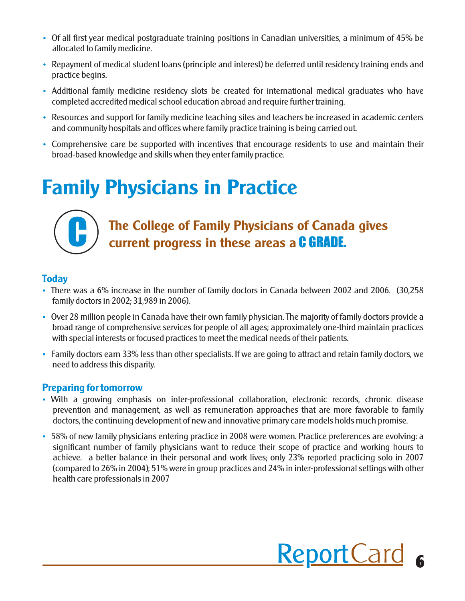- Of all first year medical postgraduate training positions in Canadian universities, a minimum of 45% be allocated to family medicine.
- Repayment of medical student loans (principle and interest) be deferred until residency training ends and practice begins.
- Additional family medicine residency slots be created for international medical graduates who have completed accredited medical school education abroad and require further training.
- Resources and support for family medicine teaching sites and teachers be increased in academic centers and community hospitals and offices where family practice training is being carried out.
- Comprehensive care be supported with incentives that encourage residents to use and maintain their broad-based knowledge and skills when they enter family practice.

## **Family Physicians in Practice**



### **The College of Family Physicians of Canada gives current progress in these areas a** C GRADE.

#### **Today**

- There was a 6% increase in the number of family doctors in Canada between 2002 and 2006. (30,258 family doctors in 2002; 31,989 in 2006).
- Over 28 million people in Canada have their own family physician. The majority of family doctors provide a broad range of comprehensive services for people of all ages; approximately one-third maintain practices with special interests or focused practices to meet the medical needs of their patients.
- Family doctors earn 33% less than other specialists. If we are going to attract and retain family doctors, we need to address this disparity.

#### **Preparing for tomorrow**

- With a growing emphasis on inter-professional collaboration, electronic records, chronic disease prevention and management, as well as remuneration approaches that are more favorable to family doctors, the continuing development of new and innovative primary care models holds much promise.
- 58% of new family physicians entering practice in 2008 were women. Practice preferences are evolving: a significant number of family physicians want to reduce their scope of practice and working hours to achieve. a better balance in their personal and work lives; only 23% reported practicing solo in 2007 (compared to 26% in 2004); 51% were in group practices and 24% in inter-professional settings with other health care professionals in 2007

# Report Card